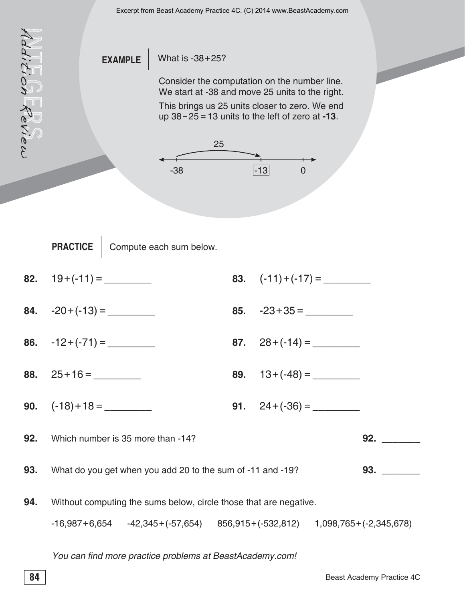

You can find more practice problems at BeastAcademy.com!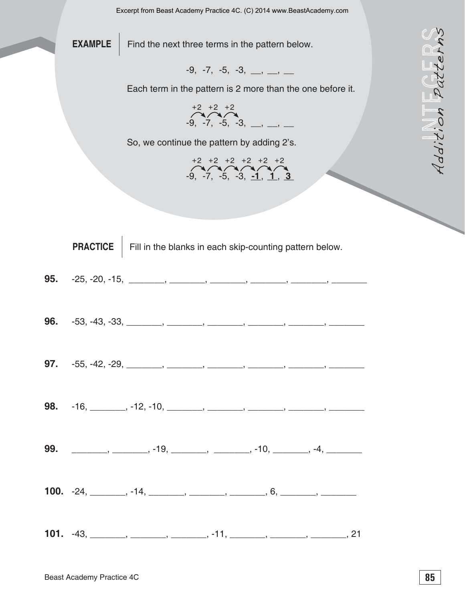



|     | <b>EXAMPLE</b>            | Find the next three terms in the pattern below.                                                                                                                                                                                                                                                                                                                                                                                                                                                                                                                                            |          |
|-----|---------------------------|--------------------------------------------------------------------------------------------------------------------------------------------------------------------------------------------------------------------------------------------------------------------------------------------------------------------------------------------------------------------------------------------------------------------------------------------------------------------------------------------------------------------------------------------------------------------------------------------|----------|
|     |                           | $-9, -7, -5, -3, \underline{\qquad, \qquad \qquad}$<br>Each term in the pattern is 2 more than the one before it.                                                                                                                                                                                                                                                                                                                                                                                                                                                                          | Patter.  |
|     |                           |                                                                                                                                                                                                                                                                                                                                                                                                                                                                                                                                                                                            |          |
|     |                           | $+2$ $+2$ $+2$<br>-9. -7. -5, -3, __, __, __                                                                                                                                                                                                                                                                                                                                                                                                                                                                                                                                               | Addition |
|     |                           | So, we continue the pattern by adding 2's.                                                                                                                                                                                                                                                                                                                                                                                                                                                                                                                                                 |          |
|     |                           | $+2$ $+2$ $+2$ $+2$ $+2$ $+2$<br>-9, -7, -5, -3, <u>-1, 1, 3</u>                                                                                                                                                                                                                                                                                                                                                                                                                                                                                                                           |          |
|     |                           |                                                                                                                                                                                                                                                                                                                                                                                                                                                                                                                                                                                            |          |
|     |                           |                                                                                                                                                                                                                                                                                                                                                                                                                                                                                                                                                                                            |          |
|     | <b>PRACTICE</b>           | Fill in the blanks in each skip-counting pattern below.                                                                                                                                                                                                                                                                                                                                                                                                                                                                                                                                    |          |
| 95. |                           |                                                                                                                                                                                                                                                                                                                                                                                                                                                                                                                                                                                            |          |
|     |                           |                                                                                                                                                                                                                                                                                                                                                                                                                                                                                                                                                                                            |          |
| 96. |                           | $-53, -43, -33, \_\_\_\_\_\_\_\_\_\_$                                                                                                                                                                                                                                                                                                                                                                                                                                                                                                                                                      |          |
|     |                           |                                                                                                                                                                                                                                                                                                                                                                                                                                                                                                                                                                                            |          |
|     |                           | <b>97.</b> $-55, -42, -29, \_\_\_\_\_\_\_\_\_\_\_\_\_$                                                                                                                                                                                                                                                                                                                                                                                                                                                                                                                                     |          |
|     |                           |                                                                                                                                                                                                                                                                                                                                                                                                                                                                                                                                                                                            |          |
|     |                           |                                                                                                                                                                                                                                                                                                                                                                                                                                                                                                                                                                                            |          |
|     |                           |                                                                                                                                                                                                                                                                                                                                                                                                                                                                                                                                                                                            |          |
|     |                           | <b>99.</b> _________, ________, -19, ________, ________, -10, ________, -4, _________                                                                                                                                                                                                                                                                                                                                                                                                                                                                                                      |          |
|     |                           | <b>100.</b> $-24, \_\_\_\_\_\_$ , $-14, \_\_\_\_\_\_\_$ , $\_\_\_\_\_\_$ , $6, \_\_\_\_\_\_$                                                                                                                                                                                                                                                                                                                                                                                                                                                                                               |          |
|     |                           |                                                                                                                                                                                                                                                                                                                                                                                                                                                                                                                                                                                            |          |
|     |                           | <b>101.</b> $-43, \underline{\hspace{1cm}} , \underline{\hspace{1cm}} , \underline{\hspace{1cm}} , \ldots ,$ $-11, \underline{\hspace{1cm}} , \underline{\hspace{1cm}} , \underline{\hspace{1cm}} , \underline{\hspace{1cm}} , \underline{\hspace{1cm}} , \underline{\hspace{1cm}} , \underline{\hspace{1cm}} , \underline{\hspace{1cm}} , \underline{\hspace{1cm}} , \underline{\hspace{1cm}} , \underline{\hspace{1cm}} , \underline{\hspace{1cm}} , \underline{\hspace{1cm}} , \underline{\hspace{1cm}} , \underline{\hspace{1cm}} , \underline{\hspace{1cm}} , \underline{\hspace{1cm$ |          |
|     |                           |                                                                                                                                                                                                                                                                                                                                                                                                                                                                                                                                                                                            |          |
|     | Beast Academy Practice 4C |                                                                                                                                                                                                                                                                                                                                                                                                                                                                                                                                                                                            | 85       |

|  | <b>95.</b> $-25, -20, -15,$ |  |  |  |  |  |  |
|--|-----------------------------|--|--|--|--|--|--|
|--|-----------------------------|--|--|--|--|--|--|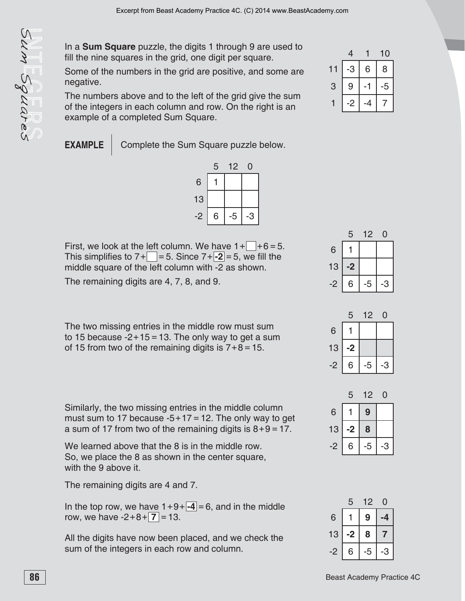In a **Sum Square** puzzle, the digits 1 through 9 are used to fill the nine squares in the grid, one digit per square.

Some of the numbers in the grid are positive, and some are negative.

The numbers above and to the left of the grid give the sum of the integers in each column and row. On the right is an example of a completed Sum Square.

**EXAMPLE** Complete the Sum Square puzzle below.



**86**<br> **86** Bearing square purzie, the digits it from the year one of the minimis and the minimis practice 4C one of the present According the present According to the sum Squares The minimism and to the list of the grid g First, we look at the left column. We have  $1 + \square + 6 = 5$ . This simplifies to  $7 + \square = 5$ . Since  $7 + \square = 5$ , we fill the middle square of the left column with -2 as shown.

The remaining digits are 4, 7, 8, and 9.

The two missing entries in the middle row must sum to 15 because  $-2+15=13$ . The only way to get a sum of 15 from two of the remaining digits is  $7+8=15$ .

Similarly, the two missing entries in the middle column must sum to 17 because  $-5+17 = 12$ . The only way to get a sum of 17 from two of the remaining digits is  $8+9=17$ .

We learned above that the 8 is in the middle row. So, we place the 8 as shown in the center square, with the 9 above it.

The remaining digits are 4 and 7.

In the top row, we have  $1+9+ -4 = 6$ , and in the middle row, we have  $-2+8+\vert 7 \vert = 13$ .

All the digits have now been placed, and we check the sum of the integers in each row and column.

|   | 4 |   | 10 |
|---|---|---|----|
|   | 3 | 6 | 8  |
| 3 | 9 |   | 5  |
|   |   |   |    |

|    | 5  | 12 | D |
|----|----|----|---|
| 6  |    |    |   |
| 13 | -2 |    |   |
| -2 | 6  | 5  | 3 |

|    | 5    | 12   | O |
|----|------|------|---|
| 6  |      |      |   |
| 13 | $-2$ |      |   |
| -2 | 6    | $-5$ | 3 |

|    | 5  | 12             | 0 |
|----|----|----------------|---|
| 6  |    | 9              |   |
| 13 | -2 | 8              |   |
| -2 | 6  | $\overline{5}$ | З |

|    | 5  | 12 |   |
|----|----|----|---|
| 6  |    | 9  |   |
| 13 | -2 | 8  |   |
| -2 | 6  | 5  | 3 |